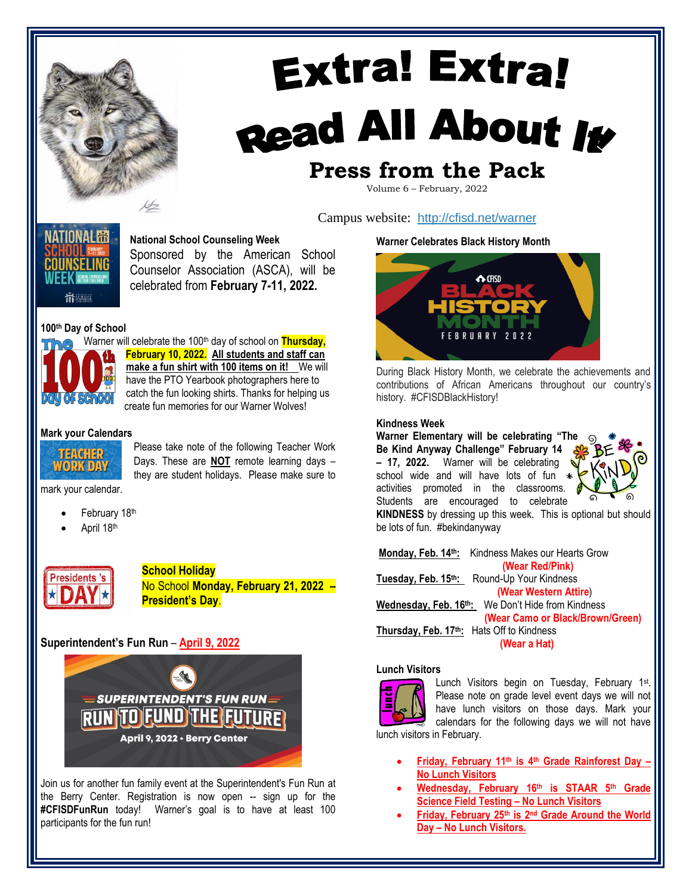

# **Extra! Extra!** Read All About It **Press from the Pack**

Volume 6 – February, 2022

Campus website: <http://cfisd.net/warner>

ATIONAL <del>m</del> **National School Counseling Week**

Sponsored by the American School Counselor Association (ASCA), will be

celebrated from **February 7-11, 2022.** 

# **100th Day of School**

in School

Warner will celebrate the 100<sup>th</sup> day of school on **Thursday**, **February 10, 2022. All students and staff can make a fun shirt with 100 items on it!** We will have the PTO Yearbook photographers here to catch the fun looking shirts. Thanks for helping us create fun memories for our Warner Wolves!

#### **Mark your Calendars**



Please take note of the following Teacher Work Days. These are **NOT** remote learning days – they are student holidays. Please make sure to

mark your calendar.

- February 18th
- April 18th



**School Holiday**  No School **Monday, February 21, 2022 – President's Day**.

# **Superintendent's Fun Run** – **April 9, 2022**



Join us for another fun family event at the Superintendent's Fun Run at the Berry Center. Registration is now open -- sign up for the **#CFISDFunRun** today! Warner's goal is to have at least 100 participants for the fun run!

#### **Warner Celebrates Black History Month**



During Black History Month, we celebrate the achievements and contributions of African Americans throughout our country's history. #CFISDBlackHistory!

#### **Kindness Week**

**Warner Elementary will be celebrating "The Be Kind Anyway Challenge" February 14 – 17, 2022.** Warner will be celebrating school wide and will have lots of fun  $\rightarrow$ activities promoted in the classrooms. Students are encouraged to celebrate



**KINDNESS** by dressing up this week. This is optional but should be lots of fun. #bekindanyway

**Monday, Feb. 14th:** Kindness Makes our Hearts Grow **(Wear Red/Pink) Tuesday, Feb. 15th:** Round-Up Your Kindness **(Wear Western Attire**) **Wednesday, Feb. 16th:** We Don't Hide from Kindness **(Wear Camo or Black/Brown/Green) Thursday, Feb. 17th:** Hats Off to Kindness **(Wear a Hat)**

#### **Lunch Visitors**



Lunch Visitors begin on Tuesday, February 1<sup>st</sup>. Please note on grade level event days we will not have lunch visitors on those days. Mark your calendars for the following days we will not have

lunch visitors in February.

- **Friday, February 11th is 4th Grade Rainforest Day – No Lunch Visitors**
- **Wednesday, February 16th is STAAR 5th Grade Science Field Testing – No Lunch Visitors**
- **Friday, February 25th is 2nd Grade Around the World Day – No Lunch Visitors.**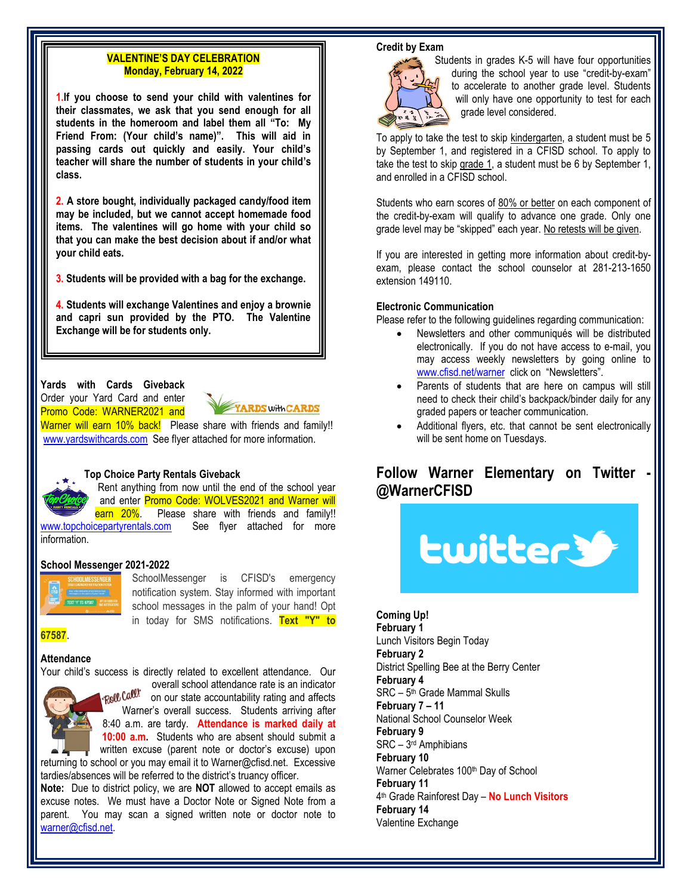# **VALENTINE'S DAY CELEBRATION Monday, February 14, 2022**

**1.If you choose to send your child with valentines for their classmates, we ask that you send enough for all students in the homeroom and label them all "To: My Friend From: (Your child's name)". This will aid in passing cards out quickly and easily. Your child's teacher will share the number of students in your child's class.**

**2. A store bought, individually packaged candy/food item may be included, but we cannot accept homemade food items. The valentines will go home with your child so that you can make the best decision about if and/or what your child eats.**

**3. Students will be provided with a bag for the exchange.**

**4. Students will exchange Valentines and enjoy a brownie and capri sun provided by the PTO. The Valentine Exchange will be for students only.**

### **Yards with Cards Giveback** Order your Yard Card and enter

Promo Code: WARNER2021 and

YARDS with CARDS

Warner will earn 10% back! Please share with friends and family!! [www.yardswithcards.com](http://www.yardswithcards.com/) See flyer attached for more information.

#### **Top Choice Party Rentals Giveback**

Rent anything from now until the end of the school year and enter Promo Code: WOLVES2021 and Warner will earn 20%. Please share with friends and family!! [www.topchoicepartyrentals.com](http://www.topchoicepartyrentals.com/) See flyer attached for more information.

# **School Messenger 2021-2022**



SchoolMessenger is CFISD's emergency notification system. Stay informed with important school messages in the palm of your hand! Opt in today for SMS notifications. **Text "Y" to**

**67587**.

# **Attendance**

Your child's success is directly related to excellent attendance. Our



overall school attendance rate is an indicator Roll Call! on our state accountability rating and affects Warner's overall success. Students arriving after 8:40 a.m. are tardy. **Attendance is marked daily at 10:00 a.m.** Students who are absent should submit a

written excuse (parent note or doctor's excuse) upon returning to school or you may email it to Warner@cfisd.net. Excessive tardies/absences will be referred to the district's truancy officer.

**Note:** Due to district policy, we are **NOT** allowed to accept emails as excuse notes. We must have a Doctor Note or Signed Note from a parent. You may scan a signed written note or doctor note to [warner@cfisd.net.](mailto:warner@cfisd.net)

#### **Credit by Exam**



Students in grades K-5 will have four opportunities during the school year to use "credit-by-exam" to accelerate to another grade level. Students will only have one opportunity to test for each grade level considered.

To apply to take the test to skip kindergarten, a student must be 5 by September 1, and registered in a CFISD school. To apply to take the test to skip grade 1, a student must be 6 by September 1, and enrolled in a CFISD school.

Students who earn scores of 80% or better on each component of the credit-by-exam will qualify to advance one grade. Only one grade level may be "skipped" each year. No retests will be given.

If you are interested in getting more information about credit-byexam, please contact the school counselor at 281-213-1650 extension 149110.

#### **Electronic Communication**

Please refer to the following guidelines regarding communication:

- Newsletters and other communiqués will be distributed electronically. If you do not have access to e-mail, you may access weekly newsletters by going online to [www.cfisd.net/warner](http://www.cfisd.net/warner) click on "Newsletters".
- Parents of students that are here on campus will still need to check their child's backpack/binder daily for any graded papers or teacher communication.
- Additional flyers, etc. that cannot be sent electronically will be sent home on Tuesdays.

# **Follow Warner Elementary on Twitter @WarnerCFISD**



**Coming Up! February 1** Lunch Visitors Begin Today **February 2** District Spelling Bee at the Berry Center **February 4** SRC – 5 th Grade Mammal Skulls **February 7 – 11** National School Counselor Week **February 9** SRC – 3 rd Amphibians **February 10** Warner Celebrates 100<sup>th</sup> Day of School **February 11** 4 th Grade Rainforest Day – **No Lunch Visitors February 14** Valentine Exchange